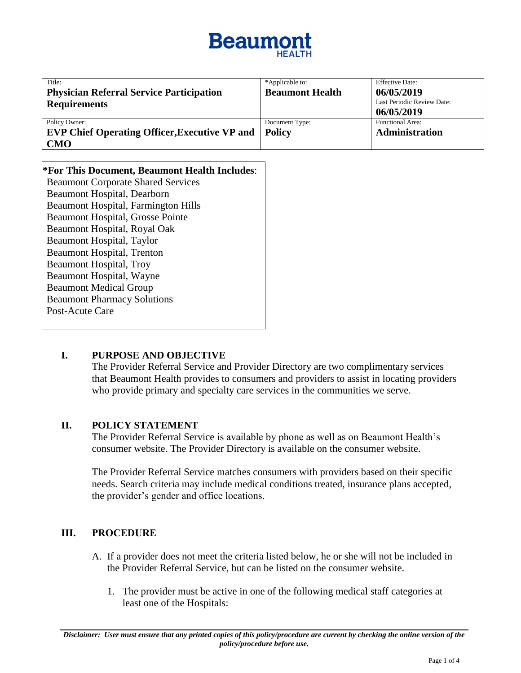# **Beaumo**

| Title:                                               | *Applicable to:        | <b>Effective Date:</b>     |
|------------------------------------------------------|------------------------|----------------------------|
| <b>Physician Referral Service Participation</b>      | <b>Beaumont Health</b> | 06/05/2019                 |
| <b>Requirements</b>                                  |                        | Last Periodic Review Date: |
|                                                      |                        | 06/05/2019                 |
| Policy Owner:                                        | Document Type:         | Functional Area:           |
| <b>EVP Chief Operating Officer, Executive VP and</b> | <b>Policy</b>          | Administration             |
| <b>CMO</b>                                           |                        |                            |

| *For This Document, Beaumont Health Includes: |  |  |  |
|-----------------------------------------------|--|--|--|
| <b>Beaumont Corporate Shared Services</b>     |  |  |  |
| Beaumont Hospital, Dearborn                   |  |  |  |
| <b>Beaumont Hospital, Farmington Hills</b>    |  |  |  |
| <b>Beaumont Hospital, Grosse Pointe</b>       |  |  |  |
| Beaumont Hospital, Royal Oak                  |  |  |  |
| <b>Beaumont Hospital, Taylor</b>              |  |  |  |
| <b>Beaumont Hospital, Trenton</b>             |  |  |  |
| <b>Beaumont Hospital, Troy</b>                |  |  |  |
| Beaumont Hospital, Wayne                      |  |  |  |
| <b>Beaumont Medical Group</b>                 |  |  |  |
| <b>Beaumont Pharmacy Solutions</b>            |  |  |  |
| Post-Acute Care                               |  |  |  |
|                                               |  |  |  |

## **I. PURPOSE AND OBJECTIVE**

The Provider Referral Service and Provider Directory are two complimentary services that Beaumont Health provides to consumers and providers to assist in locating providers who provide primary and specialty care services in the communities we serve.

#### **II. POLICY STATEMENT**

The Provider Referral Service is available by phone as well as on Beaumont Health's consumer website. The Provider Directory is available on the consumer website.

The Provider Referral Service matches consumers with providers based on their specific needs. Search criteria may include medical conditions treated, insurance plans accepted, the provider's gender and office locations.

## **III. PROCEDURE**

- A. If a provider does not meet the criteria listed below, he or she will not be included in the Provider Referral Service, but can be listed on the consumer website.
	- 1. The provider must be active in one of the following medical staff categories at least one of the Hospitals: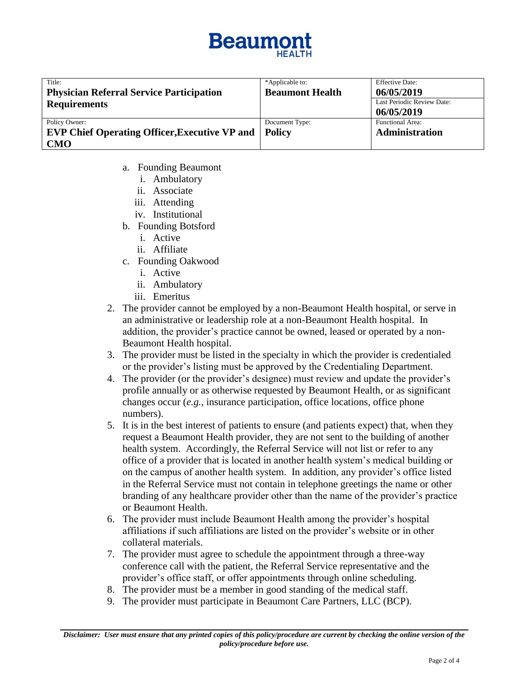

| Title:                                               | *Applicable to:        | <b>Effective Date:</b>     |
|------------------------------------------------------|------------------------|----------------------------|
| <b>Physician Referral Service Participation</b>      | <b>Beaumont Health</b> | 06/05/2019                 |
| <b>Requirements</b>                                  |                        | Last Periodic Review Date: |
|                                                      |                        | 06/05/2019                 |
| Policy Owner:                                        | Document Type:         | <b>Functional Area:</b>    |
| <b>EVP Chief Operating Officer, Executive VP and</b> | <b>Policy</b>          | Administration             |
| <b>CMO</b>                                           |                        |                            |

- a. Founding Beaumont
	- i. Ambulatory
	- ii. Associate
	- iii. Attending
	- iv. Institutional
- b. Founding Botsford
	- i. Active
	- ii. Affiliate
- c. Founding Oakwood
	- i. Active
	- ii. Ambulatory
	- iii. Emeritus
- 2. The provider cannot be employed by a non-Beaumont Health hospital, or serve in an administrative or leadership role at a non-Beaumont Health hospital. In addition, the provider's practice cannot be owned, leased or operated by a non-Beaumont Health hospital.
- 3. The provider must be listed in the specialty in which the provider is credentialed or the provider's listing must be approved by the Credentialing Department.
- 4. The provider (or the provider's designee) must review and update the provider's profile annually or as otherwise requested by Beaumont Health, or as significant changes occur (*e.g.*, insurance participation, office locations, office phone numbers).
- 5. It is in the best interest of patients to ensure (and patients expect) that, when they request a Beaumont Health provider, they are not sent to the building of another health system. Accordingly, the Referral Service will not list or refer to any office of a provider that is located in another health system's medical building or on the campus of another health system. In addition, any provider's office listed in the Referral Service must not contain in telephone greetings the name or other branding of any healthcare provider other than the name of the provider's practice or Beaumont Health.
- 6. The provider must include Beaumont Health among the provider's hospital affiliations if such affiliations are listed on the provider's website or in other collateral materials.
- 7. The provider must agree to schedule the appointment through a three-way conference call with the patient, the Referral Service representative and the provider's office staff, or offer appointments through online scheduling.
- 8. The provider must be a member in good standing of the medical staff.
- 9. The provider must participate in Beaumont Care Partners, LLC (BCP).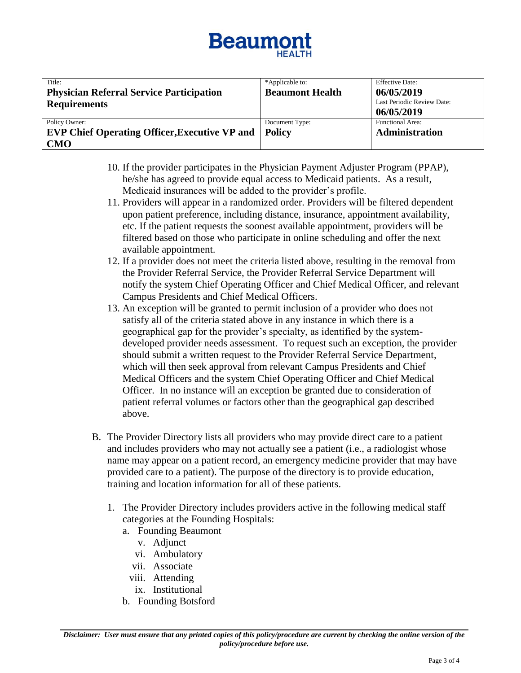# **Beaumo**

| Title:                                               | *Applicable to:        | <b>Effective Date:</b>     |
|------------------------------------------------------|------------------------|----------------------------|
| <b>Physician Referral Service Participation</b>      | <b>Beaumont Health</b> | 06/05/2019                 |
| <b>Requirements</b>                                  |                        | Last Periodic Review Date: |
|                                                      |                        | 06/05/2019                 |
| Policy Owner:                                        | Document Type:         | <b>Functional Area:</b>    |
| <b>EVP Chief Operating Officer, Executive VP and</b> | Policy                 | <b>Administration</b>      |
| <b>CMO</b>                                           |                        |                            |

- 10. If the provider participates in the Physician Payment Adjuster Program (PPAP), he/she has agreed to provide equal access to Medicaid patients. As a result, Medicaid insurances will be added to the provider's profile.
- 11. Providers will appear in a randomized order. Providers will be filtered dependent upon patient preference, including distance, insurance, appointment availability, etc. If the patient requests the soonest available appointment, providers will be filtered based on those who participate in online scheduling and offer the next available appointment.
- 12. If a provider does not meet the criteria listed above, resulting in the removal from the Provider Referral Service, the Provider Referral Service Department will notify the system Chief Operating Officer and Chief Medical Officer, and relevant Campus Presidents and Chief Medical Officers.
- 13. An exception will be granted to permit inclusion of a provider who does not satisfy all of the criteria stated above in any instance in which there is a geographical gap for the provider's specialty, as identified by the systemdeveloped provider needs assessment. To request such an exception, the provider should submit a written request to the Provider Referral Service Department, which will then seek approval from relevant Campus Presidents and Chief Medical Officers and the system Chief Operating Officer and Chief Medical Officer. In no instance will an exception be granted due to consideration of patient referral volumes or factors other than the geographical gap described above.
- B. The Provider Directory lists all providers who may provide direct care to a patient and includes providers who may not actually see a patient (i.e., a radiologist whose name may appear on a patient record, an emergency medicine provider that may have provided care to a patient). The purpose of the directory is to provide education, training and location information for all of these patients.
	- 1. The Provider Directory includes providers active in the following medical staff categories at the Founding Hospitals:
		- a. Founding Beaumont
			- v. Adjunct
			- vi. Ambulatory
			- vii. Associate
			- viii. Attending
			- ix. Institutional
		- b. Founding Botsford